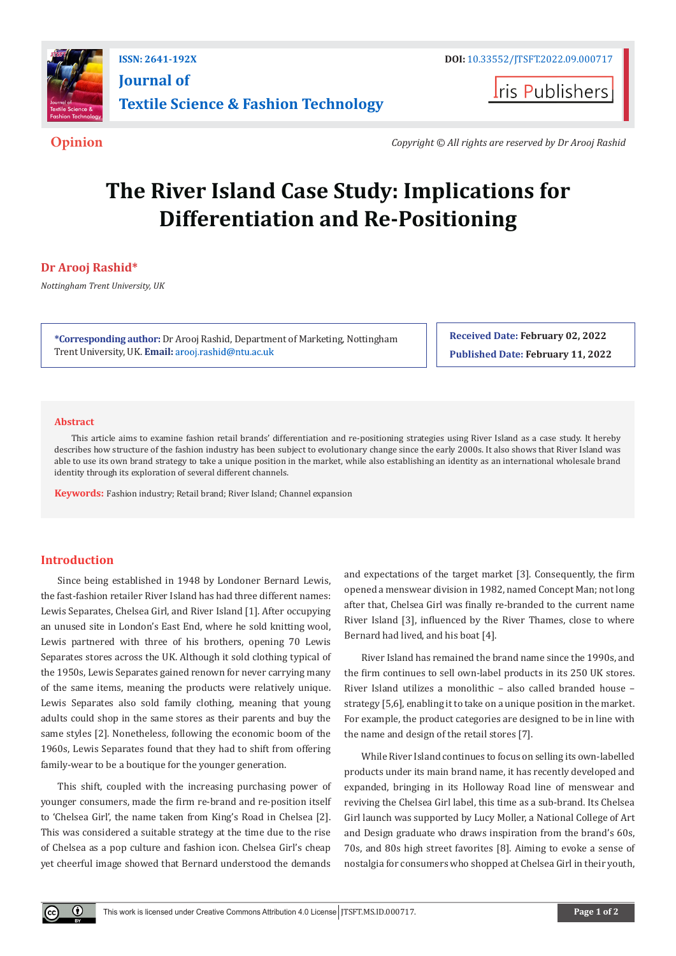

**ISSN: 2641-192X DOI:** [10.33552/JTSFT.2022.09.000717](https://dx.doi.org/10.33552/JTSFT.2022.09.000717) **[Journal of](https://irispublishers.com/jtsft/)  [Textile Science & Fashion Technology](https://irispublishers.com/jtsft/)**

**I**ris Publishers

**Opinion** *Copyright © All rights are reserved by Dr Arooj Rashid*

# **The River Island Case Study: Implications for Differentiation and Re-Positioning**

## **Dr Arooj Rashid\***

*Nottingham Trent University, UK*

**\*Corresponding author:** Dr [Arooj Rashid, Departme](http://arooj.rashid@ntu.ac.uk)nt of Marketing, Nottingham Trent University, UK. **Email:** 

**Received Date: February 02, 2022 Published Date: February 11, 2022**

#### **Abstract**

This article aims to examine fashion retail brands' differentiation and re-positioning strategies using River Island as a case study. It hereby describes how structure of the fashion industry has been subject to evolutionary change since the early 2000s. It also shows that River Island was able to use its own brand strategy to take a unique position in the market, while also establishing an identity as an international wholesale brand identity through its exploration of several different channels.

**Keywords:** Fashion industry; Retail brand; River Island; Channel expansion

#### **Introduction**

Since being established in 1948 by Londoner Bernard Lewis, the fast-fashion retailer River Island has had three different names: Lewis Separates, Chelsea Girl, and River Island [1]. After occupying an unused site in London's East End, where he sold knitting wool, Lewis partnered with three of his brothers, opening 70 Lewis Separates stores across the UK. Although it sold clothing typical of the 1950s, Lewis Separates gained renown for never carrying many of the same items, meaning the products were relatively unique. Lewis Separates also sold family clothing, meaning that young adults could shop in the same stores as their parents and buy the same styles [2]. Nonetheless, following the economic boom of the 1960s, Lewis Separates found that they had to shift from offering family-wear to be a boutique for the younger generation.

This shift, coupled with the increasing purchasing power of younger consumers, made the firm re-brand and re-position itself to 'Chelsea Girl', the name taken from King's Road in Chelsea [2]. This was considered a suitable strategy at the time due to the rise of Chelsea as a pop culture and fashion icon. Chelsea Girl's cheap yet cheerful image showed that Bernard understood the demands

and expectations of the target market [3]. Consequently, the firm opened a menswear division in 1982, named Concept Man; not long after that, Chelsea Girl was finally re-branded to the current name River Island [3], influenced by the River Thames, close to where Bernard had lived, and his boat [4].

River Island has remained the brand name since the 1990s, and the firm continues to sell own-label products in its 250 UK stores. River Island utilizes a monolithic – also called branded house – strategy [5,6], enabling it to take on a unique position in the market. For example, the product categories are designed to be in line with the name and design of the retail stores [7].

While River Island continues to focus on selling its own-labelled products under its main brand name, it has recently developed and expanded, bringing in its Holloway Road line of menswear and reviving the Chelsea Girl label, this time as a sub-brand. Its Chelsea Girl launch was supported by Lucy Moller, a National College of Art and Design graduate who draws inspiration from the brand's 60s, 70s, and 80s high street favorites [8]. Aiming to evoke a sense of nostalgia for consumers who shopped at Chelsea Girl in their youth,